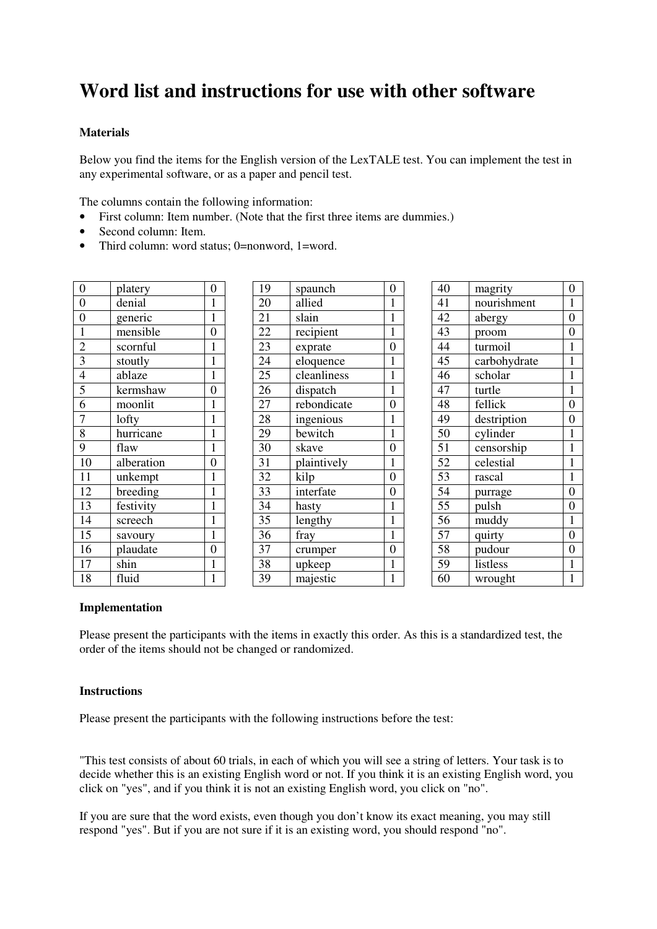# **Word list and instructions for use with other software**

# **Materials**

Below you find the items for the English version of the LexTALE test. You can implement the test in any experimental software, or as a paper and pencil test.

The columns contain the following information:

- First column: Item number. (Note that the first three items are dummies.)
- Second column: Item.
- Third column: word status; 0=nonword, 1=word.

| $\overline{0}$                            | platery    | $\overline{0}$ |
|-------------------------------------------|------------|----------------|
| $\overline{0}$                            | denial     | $\mathbf 1$    |
| $\boldsymbol{0}$                          | generic    | $\mathbf{1}$   |
|                                           | mensible   | $\overline{0}$ |
| $\frac{1}{2}$ $\frac{3}{4}$ $\frac{4}{5}$ | scornful   | $\mathbf{1}$   |
|                                           | stoutly    | $\mathbf{1}$   |
|                                           | ablaze     | $\mathbf 1$    |
|                                           | kermshaw   | $\overline{0}$ |
| $\overline{6}$                            | moonlit    | $\mathbf{1}$   |
| $\frac{1}{7}$                             | lofty      | $\mathbf{1}$   |
| $\overline{8}$                            | hurricane  | $\mathbf{1}$   |
| $\overline{9}$                            | flaw       | $\mathbf 1$    |
| $\overline{10}$                           | alberation | $\overline{0}$ |
| 11                                        | unkempt    | $\mathbf 1$    |
| 12                                        | breeding   | $\overline{1}$ |
| $\overline{1}3$                           | festivity  | $\mathbf{1}$   |
| 14                                        | screech    | $\mathbf{1}$   |
| 15                                        | savoury    | $\mathbf{1}$   |
| 16                                        | plaudate   | $\overline{0}$ |
| 17                                        | shin       | $\mathbf{1}$   |
| 18                                        | fluid      | 1              |

| 19              | spaunch     | $\overline{0}$ |
|-----------------|-------------|----------------|
| 20              | allied      | $\mathbf{1}$   |
| 21              | slain       | $\mathbf{1}$   |
| 22              | recipient   | $\mathbf{1}$   |
| 23              | exprate     | $\overline{0}$ |
| 24              | eloquence   | $\mathbf{1}$   |
| 25              | cleanliness | $\mathbf{1}$   |
| 26              | dispatch    | $\mathbf{1}$   |
| 27              | rebondicate | $\overline{0}$ |
| 28              | ingenious   | $\mathbf{1}$   |
| 29              | bewitch     | $\overline{1}$ |
| 30              | skave       | $\overline{0}$ |
| 31              | plaintively | $\mathbf{1}$   |
| 32              | kilp        | $\overline{0}$ |
| 33              | interfate   | $\overline{0}$ |
| 34              | hasty       | $\mathbf{1}$   |
| $\overline{35}$ | lengthy     | $\mathbf{1}$   |
| 36              | fray        | $\mathbf{1}$   |
| 37              | crumper     | $\overline{0}$ |
| 38              | upkeep      | $\mathbf{1}$   |
| 39              | majestic    | $\mathbf{1}$   |

| 40              | magrity      | $\overline{0}$   |
|-----------------|--------------|------------------|
| 41              | nourishment  | $\mathbf{1}$     |
| 42              | abergy       | $\overline{0}$   |
| 43              | proom        | $\boldsymbol{0}$ |
| 44              | turmoil      | $\mathbf{1}$     |
| 45              | carbohydrate | $\mathbf{1}$     |
| 46              | scholar      | $\mathbf{1}$     |
| 47              | turtle       | $\mathbf{1}$     |
| 48              | fellick      | $\overline{0}$   |
| 49              | destription  | $\overline{0}$   |
| $5\overline{0}$ | cylinder     | $\mathbf{1}$     |
| $\overline{51}$ | censorship   | $\overline{1}$   |
| 52              | celestial    | $\mathbf 1$      |
| 53              | rascal       | $\mathbf{1}$     |
| 54              | purrage      | $\overline{0}$   |
| 55              | pulsh        | $\overline{0}$   |
| $5\overline{6}$ | muddy        | $\mathbf{1}$     |
| 57              | quirty       | $\overline{0}$   |
| 58              | pudour       | $\overline{0}$   |
| 59              | listless     | $\mathbf{1}$     |
| 60              | wrought      | $\mathbf{1}$     |

### **Implementation**

Please present the participants with the items in exactly this order. As this is a standardized test, the order of the items should not be changed or randomized.

### **Instructions**

Please present the participants with the following instructions before the test:

"This test consists of about 60 trials, in each of which you will see a string of letters. Your task is to decide whether this is an existing English word or not. If you think it is an existing English word, you click on "yes", and if you think it is not an existing English word, you click on "no".

If you are sure that the word exists, even though you don't know its exact meaning, you may still respond "yes". But if you are not sure if it is an existing word, you should respond "no".